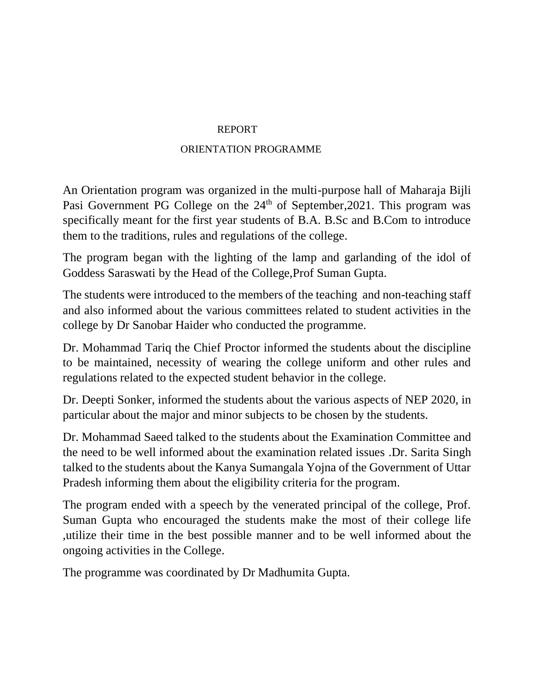## REPORT

## ORIENTATION PROGRAMME

An Orientation program was organized in the multi-purpose hall of Maharaja Bijli Pasi Government PG College on the  $24<sup>th</sup>$  of September, 2021. This program was specifically meant for the first year students of B.A. B.Sc and B.Com to introduce them to the traditions, rules and regulations of the college.

The program began with the lighting of the lamp and garlanding of the idol of Goddess Saraswati by the Head of the College,Prof Suman Gupta.

The students were introduced to the members of the teaching and non-teaching staff and also informed about the various committees related to student activities in the college by Dr Sanobar Haider who conducted the programme.

Dr. Mohammad Tariq the Chief Proctor informed the students about the discipline to be maintained, necessity of wearing the college uniform and other rules and regulations related to the expected student behavior in the college.

Dr. Deepti Sonker, informed the students about the various aspects of NEP 2020, in particular about the major and minor subjects to be chosen by the students.

Dr. Mohammad Saeed talked to the students about the Examination Committee and the need to be well informed about the examination related issues .Dr. Sarita Singh talked to the students about the Kanya Sumangala Yojna of the Government of Uttar Pradesh informing them about the eligibility criteria for the program.

The program ended with a speech by the venerated principal of the college, Prof. Suman Gupta who encouraged the students make the most of their college life ,utilize their time in the best possible manner and to be well informed about the ongoing activities in the College.

The programme was coordinated by Dr Madhumita Gupta.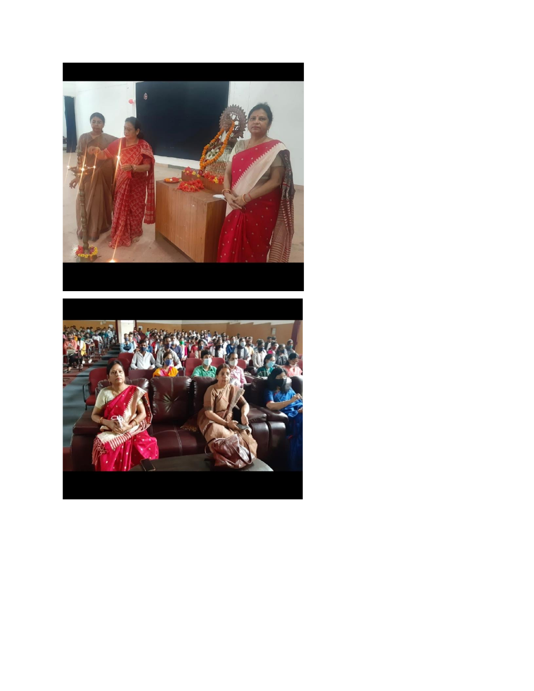

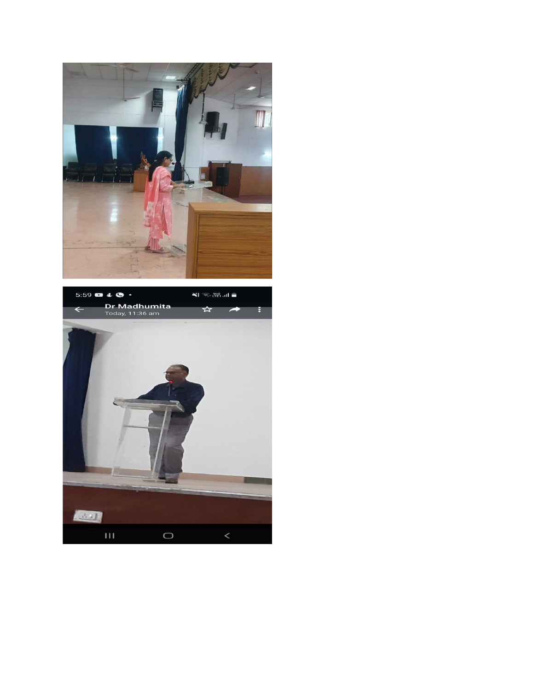

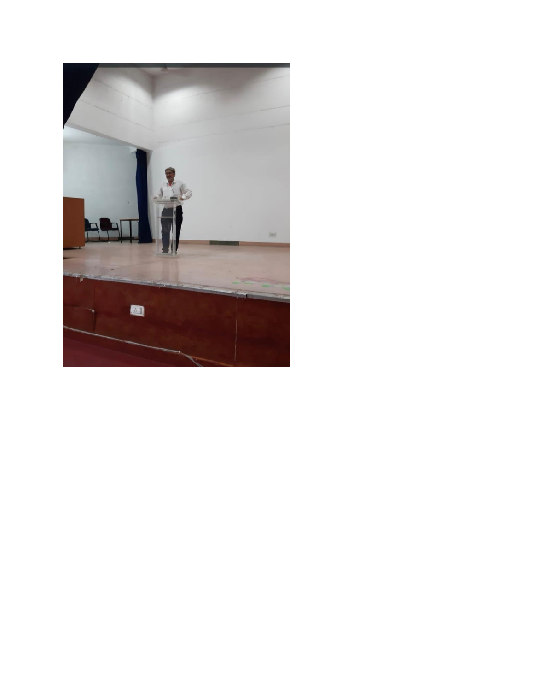